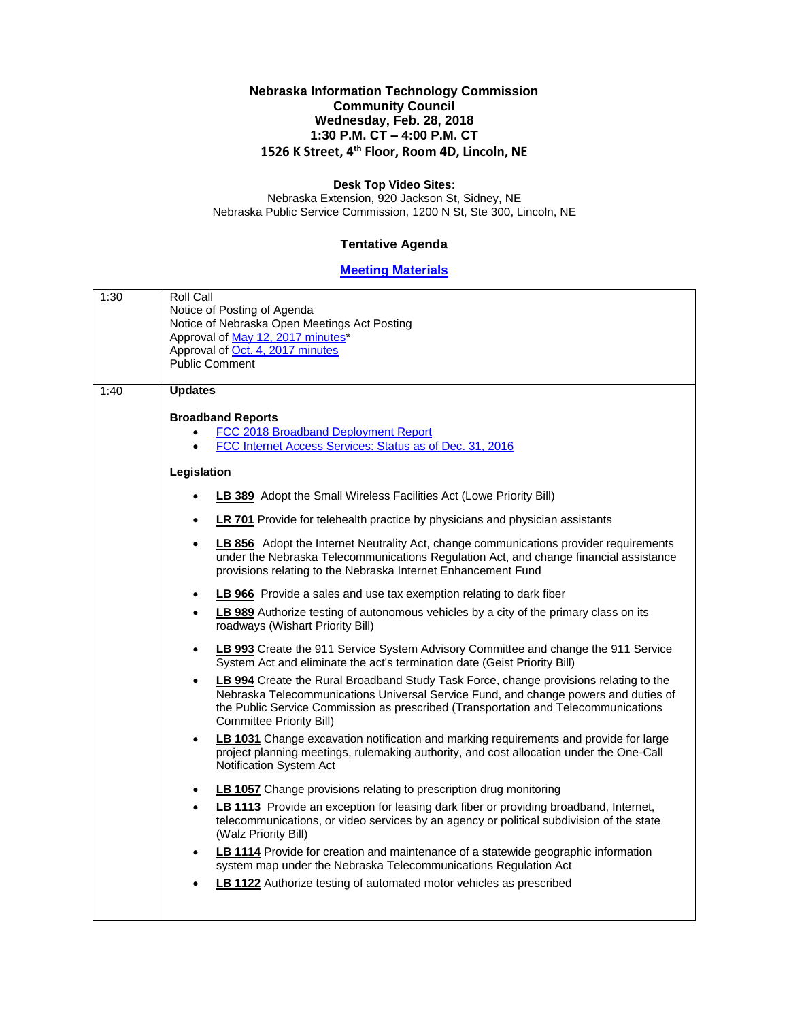## **Nebraska Information Technology Commission Community Council Wednesday, Feb. 28, 2018 1:30 P.M. CT – 4:00 P.M. CT 1526 K Street, 4th Floor, Room 4D, Lincoln, NE**

## **Desk Top Video Sites:**

Nebraska Extension, 920 Jackson St, Sidney, NE Nebraska Public Service Commission, 1200 N St, Ste 300, Lincoln, NE

## **Tentative Agenda**

## **[Meeting Materials](http://nitc.ne.gov/community_council/meetings/documents/2018Feb28/2018Feb28CCmaterials.pdf)**

| 1:30 | Roll Call<br>Notice of Posting of Agenda<br>Notice of Nebraska Open Meetings Act Posting<br>Approval of May 12, 2017 minutes*<br>Approval of Oct. 4, 2017 minutes<br><b>Public Comment</b>                                                                                                                         |
|------|--------------------------------------------------------------------------------------------------------------------------------------------------------------------------------------------------------------------------------------------------------------------------------------------------------------------|
| 1:40 | <b>Updates</b>                                                                                                                                                                                                                                                                                                     |
|      | <b>Broadband Reports</b>                                                                                                                                                                                                                                                                                           |
|      | FCC 2018 Broadband Deployment Report                                                                                                                                                                                                                                                                               |
|      | FCC Internet Access Services: Status as of Dec. 31, 2016                                                                                                                                                                                                                                                           |
|      | Legislation                                                                                                                                                                                                                                                                                                        |
|      | LB 389 Adopt the Small Wireless Facilities Act (Lowe Priority Bill)<br>$\bullet$                                                                                                                                                                                                                                   |
|      | <b>LR 701</b> Provide for telehealth practice by physicians and physician assistants<br>$\bullet$                                                                                                                                                                                                                  |
|      | LB 856 Adopt the Internet Neutrality Act, change communications provider requirements<br>$\bullet$<br>under the Nebraska Telecommunications Regulation Act, and change financial assistance<br>provisions relating to the Nebraska Internet Enhancement Fund                                                       |
|      | LB 966 Provide a sales and use tax exemption relating to dark fiber<br>$\bullet$                                                                                                                                                                                                                                   |
|      | LB 989 Authorize testing of autonomous vehicles by a city of the primary class on its<br>$\bullet$<br>roadways (Wishart Priority Bill)                                                                                                                                                                             |
|      | LB 993 Create the 911 Service System Advisory Committee and change the 911 Service<br>$\bullet$<br>System Act and eliminate the act's termination date (Geist Priority Bill)                                                                                                                                       |
|      | LB 994 Create the Rural Broadband Study Task Force, change provisions relating to the<br>$\bullet$<br>Nebraska Telecommunications Universal Service Fund, and change powers and duties of<br>the Public Service Commission as prescribed (Transportation and Telecommunications<br><b>Committee Priority Bill)</b> |
|      | LB 1031 Change excavation notification and marking requirements and provide for large<br>$\bullet$<br>project planning meetings, rulemaking authority, and cost allocation under the One-Call<br>Notification System Act                                                                                           |
|      | <b>LB 1057</b> Change provisions relating to prescription drug monitoring<br>٠                                                                                                                                                                                                                                     |
|      | LB 1113 Provide an exception for leasing dark fiber or providing broadband, Internet,<br>$\bullet$<br>telecommunications, or video services by an agency or political subdivision of the state<br>(Walz Priority Bill)                                                                                             |
|      | LB 1114 Provide for creation and maintenance of a statewide geographic information<br>$\bullet$<br>system map under the Nebraska Telecommunications Regulation Act                                                                                                                                                 |
|      | LB 1122 Authorize testing of automated motor vehicles as prescribed                                                                                                                                                                                                                                                |